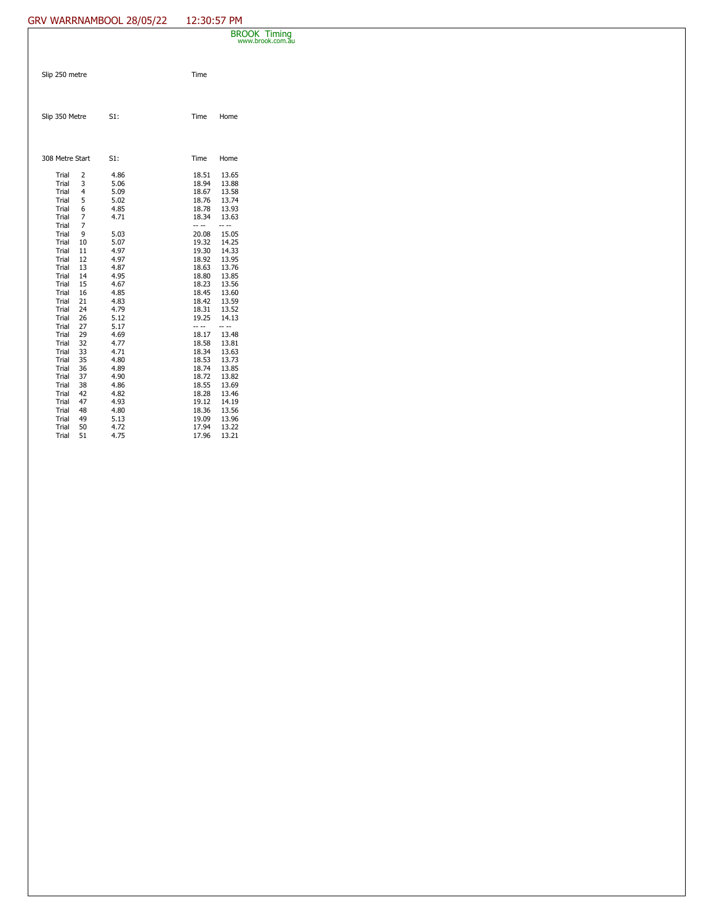## GRV WARRNAMBOOL 28/05/22 12:30:57 PM

|  |                                                                                                                                              |                                                                                        |                                                                                                                      |                                                                                                                                              | <b>BROOK Timing</b><br>www.brook.com.au                                                                                                      |  |  |
|--|----------------------------------------------------------------------------------------------------------------------------------------------|----------------------------------------------------------------------------------------|----------------------------------------------------------------------------------------------------------------------|----------------------------------------------------------------------------------------------------------------------------------------------|----------------------------------------------------------------------------------------------------------------------------------------------|--|--|
|  | Slip 250 metre                                                                                                                               |                                                                                        |                                                                                                                      | Time                                                                                                                                         |                                                                                                                                              |  |  |
|  | Slip 350 Metre                                                                                                                               |                                                                                        | S1:                                                                                                                  | Time                                                                                                                                         | Home                                                                                                                                         |  |  |
|  | 308 Metre Start                                                                                                                              |                                                                                        | S1:                                                                                                                  | Time                                                                                                                                         | Home                                                                                                                                         |  |  |
|  | Trial<br>Trial<br>Trial<br>Trial<br>Trial<br>Trial<br>Trial<br>Trial<br>Trial<br>Trial<br>Trial<br>Trial<br>Trial<br>Trial<br>Trial<br>Trial | 2<br>3<br>4<br>5<br>6<br>7<br>7<br>9<br>10<br>11<br>12<br>13<br>14<br>15<br>16<br>21   | 4.86<br>5.06<br>5.09<br>5.02<br>4.85<br>4.71<br>5.03<br>5.07<br>4.97<br>4.97<br>4.87<br>4.95<br>4.67<br>4.85<br>4.83 | 18.51<br>18.94<br>18.67<br>18.76<br>18.78<br>18.34<br>-- --<br>20.08<br>19.32<br>19.30<br>18.92<br>18.63<br>18.80<br>18.23<br>18.45<br>18.42 | 13.65<br>13.88<br>13.58<br>13.74<br>13.93<br>13.63<br>-- --<br>15.05<br>14.25<br>14.33<br>13.95<br>13.76<br>13.85<br>13.56<br>13.60<br>13.59 |  |  |
|  | Trial<br>Trial<br>Trial<br>Trial<br>Trial<br>Trial<br>Trial<br>Trial<br>Trial<br>Trial<br>Trial<br>Trial<br>Trial<br>Trial<br>Trial          | 24<br>26<br>27<br>29<br>32<br>33<br>35<br>36<br>37<br>38<br>42<br>47<br>48<br>49<br>50 | 4.79<br>5.12<br>5.17<br>4.69<br>4.77<br>4.71<br>4.80<br>4.89<br>4.90<br>4.86<br>4.82<br>4.93<br>4.80<br>5.13<br>4.72 | 18.31<br>19.25<br>-- --<br>18.17<br>18.58<br>18.34<br>18.53<br>18.74<br>18.72<br>18.55<br>18.28<br>19.12<br>18.36<br>19.09<br>17.94          | 13.52<br>14.13<br>-- --<br>13.48<br>13.81<br>13.63<br>13.73<br>13.85<br>13.82<br>13.69<br>13.46<br>14.19<br>13.56<br>13.96<br>13.22          |  |  |
|  | Trial                                                                                                                                        | 51                                                                                     | 4.75                                                                                                                 | 17.96                                                                                                                                        | 13.21                                                                                                                                        |  |  |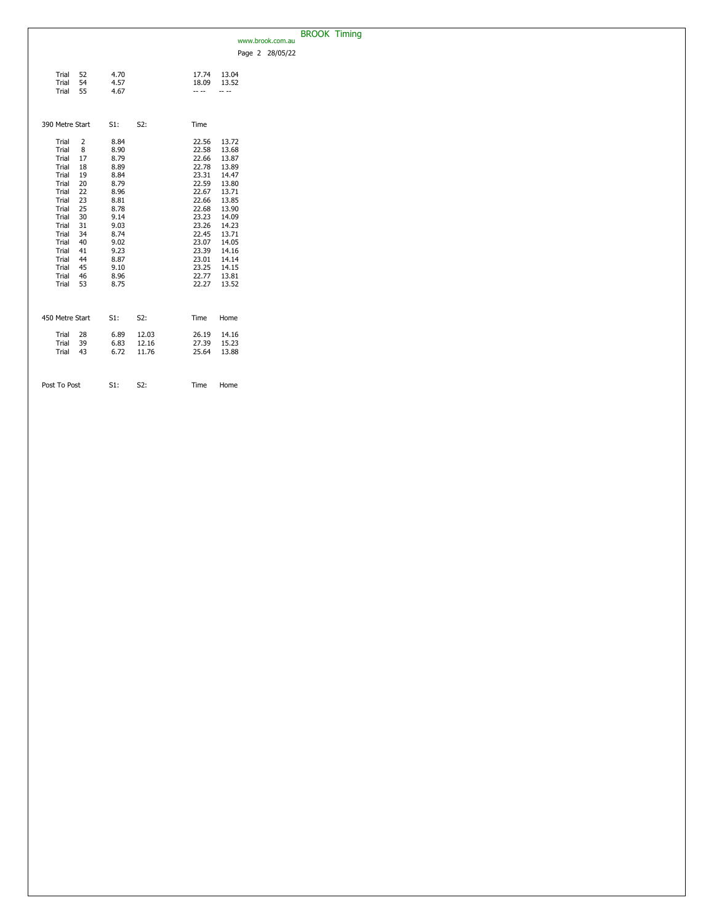|                            |              |       |                |                | www.brook.com.au | <b>BROOK Timing</b> |  |
|----------------------------|--------------|-------|----------------|----------------|------------------|---------------------|--|
|                            |              |       |                |                | Page 2 28/05/22  |                     |  |
|                            |              |       |                |                |                  |                     |  |
| Trial<br>52                | 4.70         |       | 17.74          | 13.04          |                  |                     |  |
| Trial<br>54<br>Trial<br>55 | 4.57<br>4.67 |       | 18.09<br>-- -- | 13.52          |                  |                     |  |
|                            |              |       |                |                |                  |                     |  |
|                            |              |       |                |                |                  |                     |  |
| 390 Metre Start            | S1:          | S2:   | Time           |                |                  |                     |  |
| Trial<br>2                 | 8.84         |       | 22.56          | 13.72          |                  |                     |  |
| Trial<br>8                 | 8.90         |       | 22.58          | 13.68          |                  |                     |  |
| Trial<br>17                | 8.79         |       | 22.66          | 13.87          |                  |                     |  |
| Trial<br>18<br>Trial<br>19 | 8.89<br>8.84 |       | 22.78<br>23.31 | 13.89<br>14.47 |                  |                     |  |
| Trial<br>20                | 8.79         |       | 22.59          | 13.80          |                  |                     |  |
| Trial<br>22                | 8.96         |       | 22.67          | 13.71          |                  |                     |  |
| Trial<br>23                | 8.81         |       | 22.66          | 13.85          |                  |                     |  |
| Trial<br>25                | 8.78         |       | 22.68          | 13.90          |                  |                     |  |
| 30<br>Trial                | 9.14         |       | 23.23          | 14.09          |                  |                     |  |
| Trial<br>31<br>Trial<br>34 | 9.03<br>8.74 |       | 23.26<br>22.45 | 14.23<br>13.71 |                  |                     |  |
| Trial<br>40                | 9.02         |       | 23.07          | 14.05          |                  |                     |  |
| Trial<br>41                | 9.23         |       | 23.39          | 14.16          |                  |                     |  |
| Trial<br>44                | 8.87         |       | 23.01          | 14.14          |                  |                     |  |
| Trial<br>45                | 9.10         |       | 23.25          | 14.15          |                  |                     |  |
| Trial<br>46                | 8.96         |       | 22.77          | 13.81          |                  |                     |  |
| Trial<br>53                | 8.75         |       | 22.27          | 13.52          |                  |                     |  |
|                            |              |       |                |                |                  |                     |  |
| 450 Metre Start            | $S1$ :       | S2:   | Time           | Home           |                  |                     |  |
|                            |              |       |                |                |                  |                     |  |
| Trial<br>28                | 6.89         | 12.03 | 26.19          | 14.16          |                  |                     |  |
| Trial<br>39                | 6.83         | 12.16 | 27.39          | 15.23          |                  |                     |  |
| Trial<br>43                | 6.72         | 11.76 | 25.64          | 13.88          |                  |                     |  |
|                            |              |       |                |                |                  |                     |  |
| Post To Post               | S1:          | S2:   | Time           | Home           |                  |                     |  |